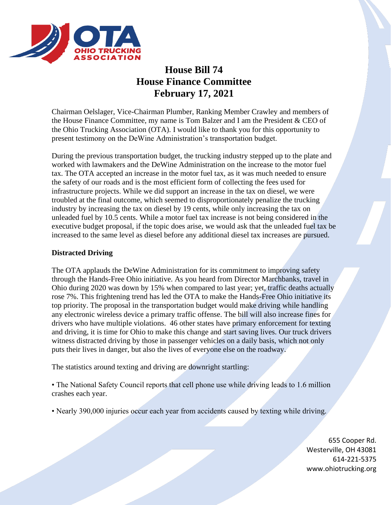

# **House Bill 74 House Finance Committee February 17, 2021**

Chairman Oelslager, Vice-Chairman Plumber, Ranking Member Crawley and members of the House Finance Committee, my name is Tom Balzer and I am the President & CEO of the Ohio Trucking Association (OTA). I would like to thank you for this opportunity to present testimony on the DeWine Administration's transportation budget.

During the previous transportation budget, the trucking industry stepped up to the plate and worked with lawmakers and the DeWine Administration on the increase to the motor fuel tax. The OTA accepted an increase in the motor fuel tax, as it was much needed to ensure the safety of our roads and is the most efficient form of collecting the fees used for infrastructure projects. While we did support an increase in the tax on diesel, we were troubled at the final outcome, which seemed to disproportionately penalize the trucking industry by increasing the tax on diesel by 19 cents, while only increasing the tax on unleaded fuel by 10.5 cents. While a motor fuel tax increase is not being considered in the executive budget proposal, if the topic does arise, we would ask that the unleaded fuel tax be increased to the same level as diesel before any additional diesel tax increases are pursued.

## **Distracted Driving**

The OTA applauds the DeWine Administration for its commitment to improving safety through the Hands-Free Ohio initiative. As you heard from Director Marchbanks, travel in Ohio during 2020 was down by 15% when compared to last year; yet, traffic deaths actually rose 7%. This frightening trend has led the OTA to make the Hands-Free Ohio initiative its top priority. The proposal in the transportation budget would make driving while handling any electronic wireless device a primary traffic offense. The bill will also increase fines for drivers who have multiple violations. 46 other states have primary enforcement for texting and driving, it is time for Ohio to make this change and start saving lives. Our truck drivers witness distracted driving by those in passenger vehicles on a daily basis, which not only puts their lives in danger, but also the lives of everyone else on the roadway.

The statistics around texting and driving are downright startling:

• The National Safety Council reports that cell phone use while driving leads to 1.6 million crashes each year.

• Nearly 390,000 injuries occur each year from accidents caused by texting while driving.

655 Cooper Rd. Westerville, OH 43081 614-221-5375 www.ohiotrucking.org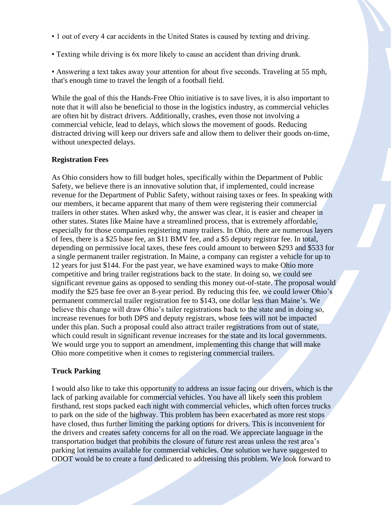- 1 out of every 4 car accidents in the United States is caused by texting and driving.
- Texting while driving is 6x more likely to cause an accident than driving drunk.

• Answering a text takes away your attention for about five seconds. Traveling at 55 mph, that's enough time to travel the length of a football field.

While the goal of this the Hands-Free Ohio initiative is to save lives, it is also important to note that it will also be beneficial to those in the logistics industry, as commercial vehicles are often hit by distract drivers. Additionally, crashes, even those not involving a commercial vehicle, lead to delays, which slows the movement of goods. Reducing distracted driving will keep our drivers safe and allow them to deliver their goods on-time, without unexpected delays.

### **Registration Fees**

As Ohio considers how to fill budget holes, specifically within the Department of Public Safety, we believe there is an innovative solution that, if implemented, could increase revenue for the Department of Public Safety, without raising taxes or fees. In speaking with our members, it became apparent that many of them were registering their commercial trailers in other states. When asked why, the answer was clear, it is easier and cheaper in other states. States like Maine have a streamlined process, that is extremely affordable, especially for those companies registering many trailers. In Ohio, there are numerous layers of fees, there is a \$25 base fee, an \$11 BMV fee, and a \$5 deputy registrar fee. In total, depending on permissive local taxes, these fees could amount to between \$293 and \$533 for a single permanent trailer registration. In Maine, a company can register a vehicle for up to 12 years for just \$144. For the past year, we have examined ways to make Ohio more competitive and bring trailer registrations back to the state. In doing so, we could see significant revenue gains as opposed to sending this money out-of-state. The proposal would modify the \$25 base fee over an 8-year period. By reducing this fee, we could lower Ohio's permanent commercial trailer registration fee to \$143, one dollar less than Maine's. We believe this change will draw Ohio's tailer registrations back to the state and in doing so, increase revenues for both DPS and deputy registrars, whose fees will not be impacted under this plan. Such a proposal could also attract trailer registrations from out of state, which could result in significant revenue increases for the state and its local governments. We would urge you to support an amendment, implementing this change that will make Ohio more competitive when it comes to registering commercial trailers.

#### **Truck Parking**

I would also like to take this opportunity to address an issue facing our drivers, which is the lack of parking available for commercial vehicles. You have all likely seen this problem firsthand, rest stops packed each night with commercial vehicles, which often forces trucks to park on the side of the highway. This problem has been exacerbated as more rest stops have closed, thus further limiting the parking options for drivers. This is inconvenient for the drivers and creates safety concerns for all on the road. We appreciate language in the transportation budget that prohibits the closure of future rest areas unless the rest area's parking lot remains available for commercial vehicles. One solution we have suggested to ODOT would be to create a fund dedicated to addressing this problem. We look forward to